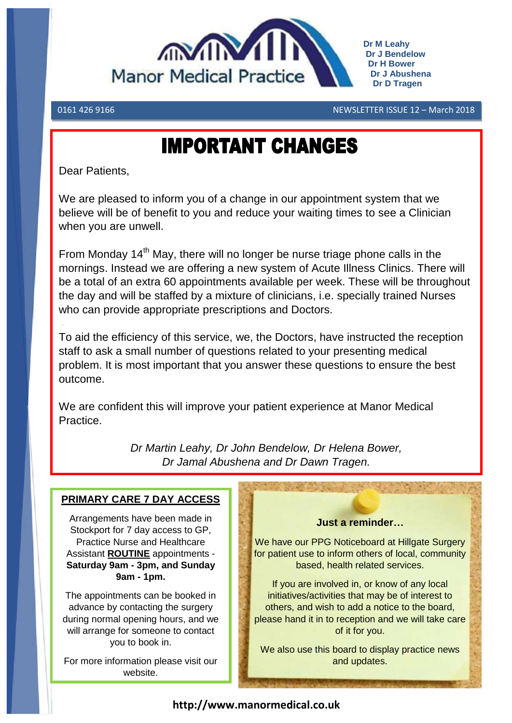

**Dr M Leahy Dr J Bendelow Dr H Bower Dr J Abushena Dr D Tragen**

0161 426 9166 NEWSLETTER ISSUE 12 – March 2018

# **IMPORTANT CHANGES**

Dear Patients,

We are pleased to inform you of a change in our appointment system that we believe will be of benefit to you and reduce your waiting times to see a Clinician when you are unwell.

From Monday  $14<sup>th</sup>$  May, there will no longer be nurse triage phone calls in the mornings. Instead we are offering a new system of Acute Illness Clinics. There will be a total of an extra 60 appointments available per week. These will be throughout the day and will be staffed by a mixture of clinicians, i.e. specially trained Nurses who can provide appropriate prescriptions and Doctors.

To aid the efficiency of this service, we, the Doctors, have instructed the reception staff to ask a small number of questions related to your presenting medical problem. It is most important that you answer these questions to ensure the best outcome.

We are confident this will improve your patient experience at Manor Medical Practice.

> *Dr Martin Leahy, Dr John Bendelow, Dr Helena Bower, Dr Jamal Abushena and Dr Dawn Tragen.*

#### **PRIMARY CARE 7 DAY ACCESS**

Arrangements have been made in Stockport for 7 day access to GP, Practice Nurse and Healthcare Assistant **ROUTINE** appointments - **Saturday 9am - 3pm, and Sunday 9am - 1pm.**

The appointments can be booked in advance by contacting the surgery during normal opening hours, and we will arrange for someone to contact you to book in.

For more information please visit our website.